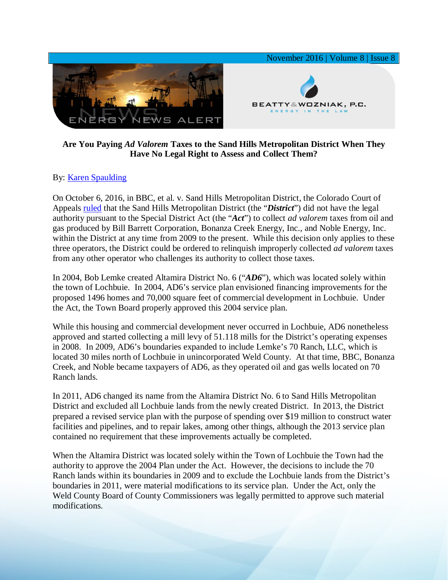

## **Are You Paying** *Ad Valorem* **Taxes to the Sand Hills Metropolitan District When They Have No Legal Right to Assess and Collect Them?**

## By: [Karen Spaulding](http://www.bwenergylaw.com/karen-spaulding)

On October 6, 2016, in BBC, et al. v. Sand Hills Metropolitan District, the Colorado Court of Appeals [ruled](http://media.wix.com/ugd/2f2374_f4e921c3e21241c5a5da76584a94d23e.pdf) that the Sand Hills Metropolitan District (the "*District*") did not have the legal authority pursuant to the Special District Act (the "*Act*") to collect *ad valorem* taxes from oil and gas produced by Bill Barrett Corporation, Bonanza Creek Energy, Inc., and Noble Energy, Inc. within the District at any time from 2009 to the present. While this decision only applies to these three operators, the District could be ordered to relinquish improperly collected *ad valorem* taxes from any other operator who challenges its authority to collect those taxes.

In 2004, Bob Lemke created Altamira District No. 6 ("*AD6*"), which was located solely within the town of Lochbuie. In 2004, AD6's service plan envisioned financing improvements for the proposed 1496 homes and 70,000 square feet of commercial development in Lochbuie. Under the Act, the Town Board properly approved this 2004 service plan.

While this housing and commercial development never occurred in Lochbuie, AD6 nonetheless approved and started collecting a mill levy of 51.118 mills for the District's operating expenses in 2008. In 2009, AD6's boundaries expanded to include Lemke's 70 Ranch, LLC, which is located 30 miles north of Lochbuie in unincorporated Weld County. At that time, BBC, Bonanza Creek, and Noble became taxpayers of AD6, as they operated oil and gas wells located on 70 Ranch lands.

In 2011, AD6 changed its name from the Altamira District No. 6 to Sand Hills Metropolitan District and excluded all Lochbuie lands from the newly created District. In 2013, the District prepared a revised service plan with the purpose of spending over \$19 million to construct water facilities and pipelines, and to repair lakes, among other things, although the 2013 service plan contained no requirement that these improvements actually be completed.

When the Altamira District was located solely within the Town of Lochbuie the Town had the authority to approve the 2004 Plan under the Act. However, the decisions to include the 70 Ranch lands within its boundaries in 2009 and to exclude the Lochbuie lands from the District's boundaries in 2011, were material modifications to its service plan. Under the Act, only the Weld County Board of County Commissioners was legally permitted to approve such material modifications.